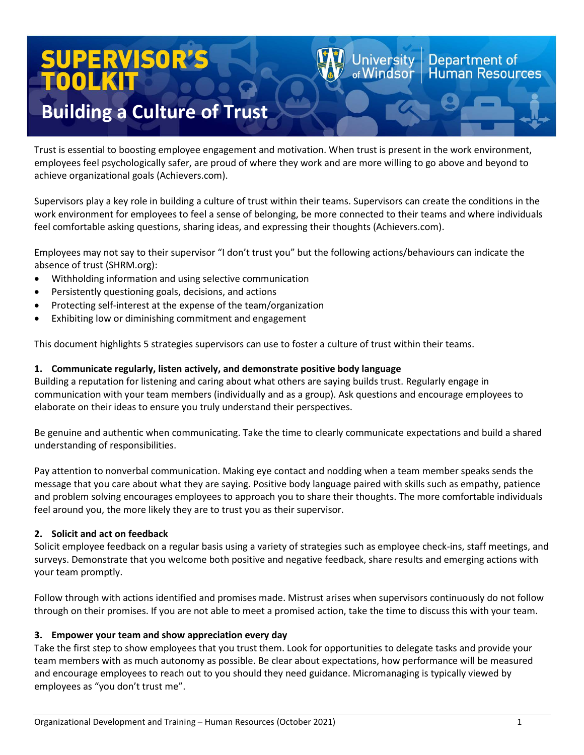# UPERVISOR TOOL

# **Building a Culture of Trust**

Trust is essential to boosting employee engagement and motivation. When trust is present in the work environment, employees feel psychologically safer, are proud of where they work and are more willing to go above and beyond to achieve organizational goals (Achievers.com).

Supervisors play a key role in building a culture of trust within their teams. Supervisors can create the conditions in the work environment for employees to feel a sense of belonging, be more connected to their teams and where individuals feel comfortable asking questions, sharing ideas, and expressing their thoughts (Achievers.com).

Employees may not say to their supervisor "I don't trust you" but the following actions/behaviours can indicate the absence of trust (SHRM.org):

- Withholding information and using selective communication
- Persistently questioning goals, decisions, and actions
- Protecting self-interest at the expense of the team/organization
- Exhibiting low or diminishing commitment and engagement

This document highlights 5 strategies supervisors can use to foster a culture of trust within their teams.

### **1. Communicate regularly, listen actively, and demonstrate positive body language**

Building a reputation for listening and caring about what others are saying builds trust. Regularly engage in communication with your team members (individually and as a group). Ask questions and encourage employees to elaborate on their ideas to ensure you truly understand their perspectives.

Be genuine and authentic when communicating. Take the time to clearly communicate expectations and build a shared understanding of responsibilities.

Pay attention to nonverbal communication. Making eye contact and nodding when a team member speaks sends the message that you care about what they are saying. Positive body language paired with skills such as empathy, patience and problem solving encourages employees to approach you to share their thoughts. The more comfortable individuals feel around you, the more likely they are to trust you as their supervisor.

# **2. Solicit and act on feedback**

Solicit employee feedback on a regular basis using a variety of strategies such as employee check-ins, staff meetings, and surveys. Demonstrate that you welcome both positive and negative feedback, share results and emerging actions with your team promptly.

Follow through with actions identified and promises made. Mistrust arises when supervisors continuously do not follow through on their promises. If you are not able to meet a promised action, take the time to discuss this with your team.

# **3. Empower your team and show appreciation every day**

Take the first step to show employees that you trust them. Look for opportunities to delegate tasks and provide your team members with as much autonomy as possible. Be clear about expectations, how performance will be measured and encourage employees to reach out to you should they need guidance. Micromanaging is typically viewed by employees as "you don't trust me".

Department of

luman Resources

Jniversitv